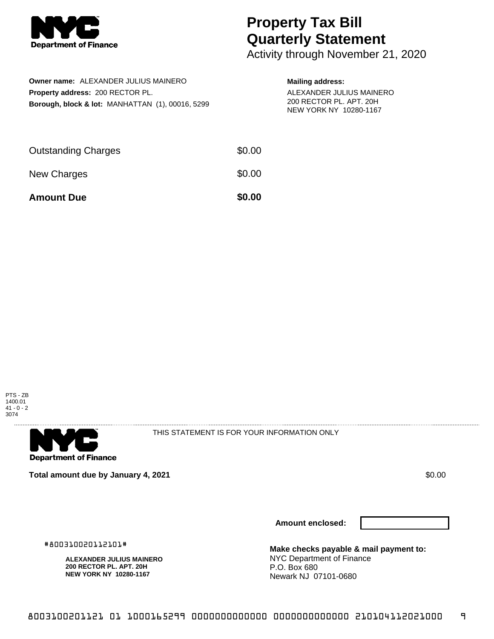

## **Property Tax Bill Quarterly Statement**

Activity through November 21, 2020

| Owner name: ALEXANDER JULIUS MAINERO                        |
|-------------------------------------------------------------|
| Property address: 200 RECTOR PL.                            |
| <b>Borough, block &amp; lot: MANHATTAN (1), 00016, 5299</b> |

## **Mailing address:**

ALEXANDER JULIUS MAINERO 200 RECTOR PL. APT. 20H NEW YORK NY 10280-1167

| <b>Amount Due</b>          | \$0.00 |
|----------------------------|--------|
| New Charges                | \$0.00 |
| <b>Outstanding Charges</b> | \$0.00 |





THIS STATEMENT IS FOR YOUR INFORMATION ONLY

**Total amount due by January 4, 2021 \$0.00**  $\bullet$  **\$0.00**  $\bullet$  **\$0.00**  $\bullet$  **\$0.00** 

**Amount enclosed:**

#800310020112101#

**ALEXANDER JULIUS MAINERO 200 RECTOR PL. APT. 20H NEW YORK NY 10280-1167**

**Make checks payable & mail payment to:** NYC Department of Finance P.O. Box 680 Newark NJ 07101-0680